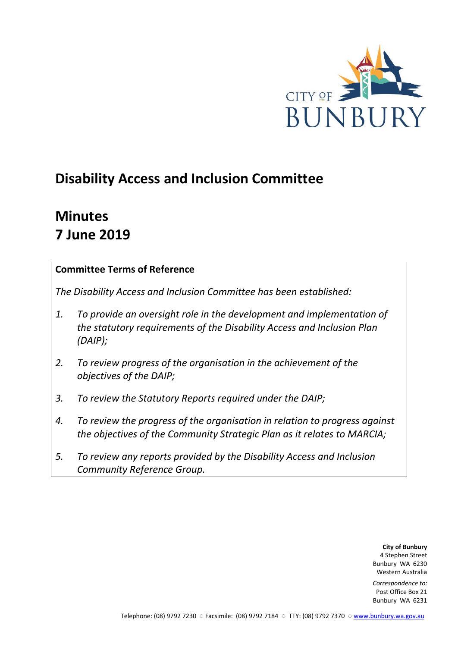

# **Disability Access and Inclusion Committee**

# **Minutes 7 June 2019**

## **Committee Terms of Reference**

*The Disability Access and Inclusion Committee has been established:* 

- *1. To provide an oversight role in the development and implementation of the statutory requirements of the Disability Access and Inclusion Plan (DAIP);*
- *2. To review progress of the organisation in the achievement of the objectives of the DAIP;*
- *3. To review the Statutory Reports required under the DAIP;*
- *4. To review the progress of the organisation in relation to progress against the objectives of the Community Strategic Plan as it relates to MARCIA;*
- *5. To review any reports provided by the Disability Access and Inclusion Community Reference Group.*

**City of Bunbury** 4 Stephen Street Bunbury WA 6230 Western Australia

*Correspondence to:* Post Office Box 21 Bunbury WA 6231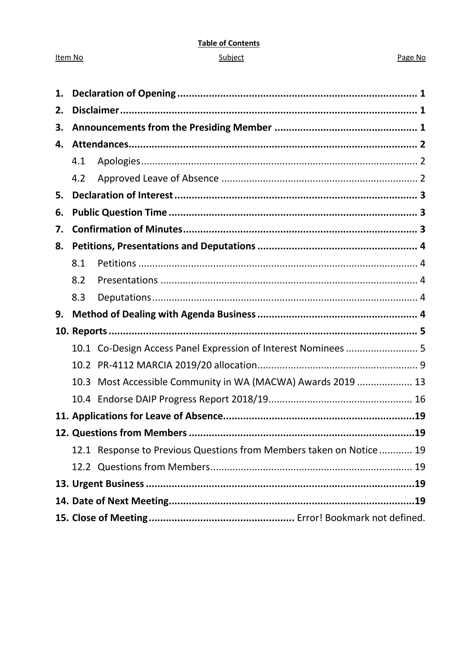#### **Table of Contents**

#### Subject

#### Page No

| 1. |      |                                                                     |  |
|----|------|---------------------------------------------------------------------|--|
| 2. |      |                                                                     |  |
| 3. |      |                                                                     |  |
| 4. |      |                                                                     |  |
|    | 4.1  |                                                                     |  |
|    | 4.2  |                                                                     |  |
| 5. |      |                                                                     |  |
| 6. |      |                                                                     |  |
| 7. |      |                                                                     |  |
| 8. |      |                                                                     |  |
|    | 8.1  |                                                                     |  |
|    | 8.2  |                                                                     |  |
|    | 8.3  |                                                                     |  |
|    |      |                                                                     |  |
| 9. |      |                                                                     |  |
|    |      |                                                                     |  |
|    |      | 10.1 Co-Design Access Panel Expression of Interest Nominees  5      |  |
|    |      |                                                                     |  |
|    | 10.3 | Most Accessible Community in WA (MACWA) Awards 2019  13             |  |
|    |      |                                                                     |  |
|    |      |                                                                     |  |
|    |      |                                                                     |  |
|    |      | 12.1 Response to Previous Questions from Members taken on Notice 19 |  |
|    |      |                                                                     |  |
|    |      |                                                                     |  |
|    |      |                                                                     |  |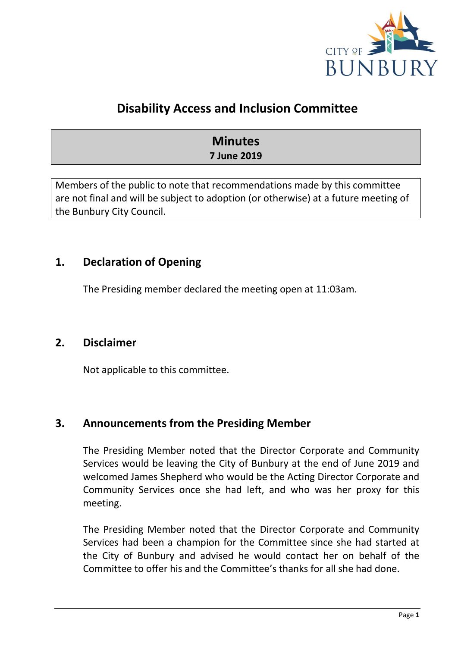

## **Disability Access and Inclusion Committee**

## **Minutes 7 June 2019**

Members of the public to note that recommendations made by this committee are not final and will be subject to adoption (or otherwise) at a future meeting of the Bunbury City Council.

## <span id="page-2-0"></span>**1. Declaration of Opening**

The Presiding member declared the meeting open at 11:03am.

## <span id="page-2-1"></span>**2. Disclaimer**

Not applicable to this committee.

## <span id="page-2-2"></span>**3. Announcements from the Presiding Member**

The Presiding Member noted that the Director Corporate and Community Services would be leaving the City of Bunbury at the end of June 2019 and welcomed James Shepherd who would be the Acting Director Corporate and Community Services once she had left, and who was her proxy for this meeting.

The Presiding Member noted that the Director Corporate and Community Services had been a champion for the Committee since she had started at the City of Bunbury and advised he would contact her on behalf of the Committee to offer his and the Committee's thanks for all she had done.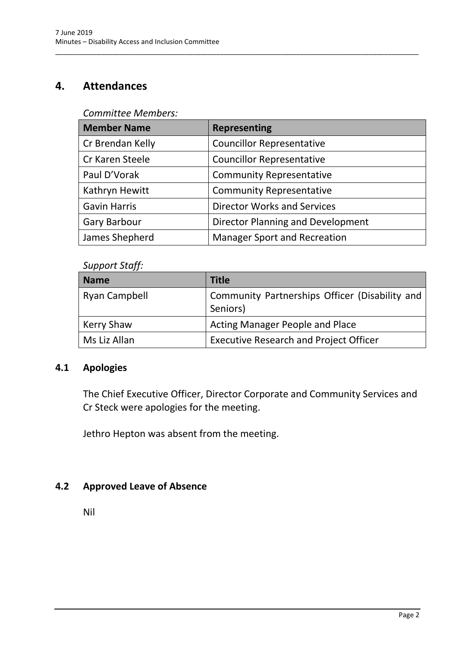## <span id="page-3-0"></span>**4. Attendances**

#### *Committee Members:*

| <b>Member Name</b>  | <b>Representing</b>                 |
|---------------------|-------------------------------------|
| Cr Brendan Kelly    | <b>Councillor Representative</b>    |
| Cr Karen Steele     | <b>Councillor Representative</b>    |
| Paul D'Vorak        | <b>Community Representative</b>     |
| Kathryn Hewitt      | <b>Community Representative</b>     |
| <b>Gavin Harris</b> | <b>Director Works and Services</b>  |
| <b>Gary Barbour</b> | Director Planning and Development   |
| James Shepherd      | <b>Manager Sport and Recreation</b> |

\_\_\_\_\_\_\_\_\_\_\_\_\_\_\_\_\_\_\_\_\_\_\_\_\_\_\_\_\_\_\_\_\_\_\_\_\_\_\_\_\_\_\_\_\_\_\_\_\_\_\_\_\_\_\_\_\_\_\_\_\_\_\_\_\_\_\_\_\_\_\_\_\_\_\_\_\_\_\_\_\_\_\_\_\_\_\_\_\_\_\_\_\_\_\_

#### *Support Staff:*

| <b>Name</b>          | <b>Title</b>                                               |
|----------------------|------------------------------------------------------------|
| <b>Ryan Campbell</b> | Community Partnerships Officer (Disability and<br>Seniors) |
| <b>Kerry Shaw</b>    | <b>Acting Manager People and Place</b>                     |
| Ms Liz Allan         | <b>Executive Research and Project Officer</b>              |

## <span id="page-3-1"></span>**4.1 Apologies**

The Chief Executive Officer, Director Corporate and Community Services and Cr Steck were apologies for the meeting.

Jethro Hepton was absent from the meeting.

## <span id="page-3-2"></span>**4.2 Approved Leave of Absence**

Nil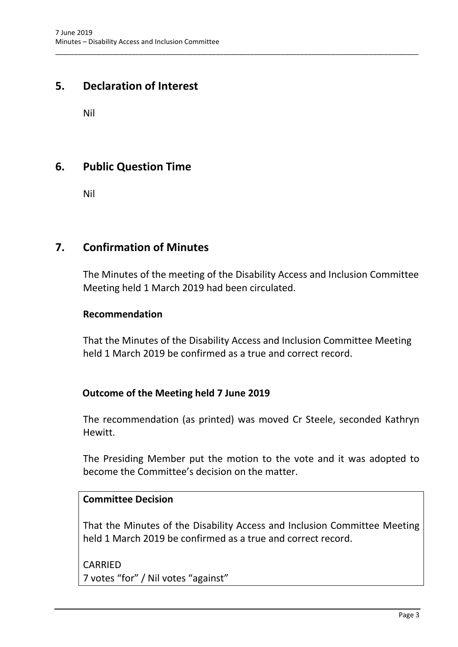## <span id="page-4-0"></span>**5. Declaration of Interest**

Nil

## <span id="page-4-1"></span>**6. Public Question Time**

Nil

## <span id="page-4-2"></span>**7. Confirmation of Minutes**

The Minutes of the meeting of the Disability Access and Inclusion Committee Meeting held 1 March 2019 had been circulated.

\_\_\_\_\_\_\_\_\_\_\_\_\_\_\_\_\_\_\_\_\_\_\_\_\_\_\_\_\_\_\_\_\_\_\_\_\_\_\_\_\_\_\_\_\_\_\_\_\_\_\_\_\_\_\_\_\_\_\_\_\_\_\_\_\_\_\_\_\_\_\_\_\_\_\_\_\_\_\_\_\_\_\_\_\_\_\_\_\_\_\_\_\_\_\_

#### **Recommendation**

That the Minutes of the Disability Access and Inclusion Committee Meeting held 1 March 2019 be confirmed as a true and correct record.

## **Outcome of the Meeting held 7 June 2019**

The recommendation (as printed) was moved Cr Steele, seconded Kathryn Hewitt.

The Presiding Member put the motion to the vote and it was adopted to become the Committee's decision on the matter.

## **Committee Decision**

That the Minutes of the Disability Access and Inclusion Committee Meeting held 1 March 2019 be confirmed as a true and correct record.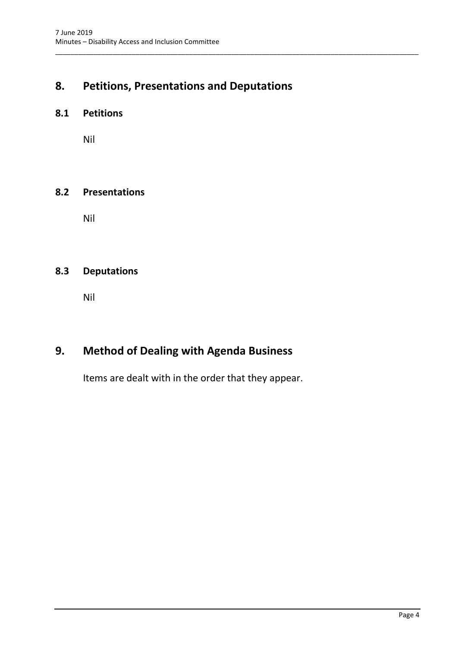## <span id="page-5-0"></span>**8. Petitions, Presentations and Deputations**

\_\_\_\_\_\_\_\_\_\_\_\_\_\_\_\_\_\_\_\_\_\_\_\_\_\_\_\_\_\_\_\_\_\_\_\_\_\_\_\_\_\_\_\_\_\_\_\_\_\_\_\_\_\_\_\_\_\_\_\_\_\_\_\_\_\_\_\_\_\_\_\_\_\_\_\_\_\_\_\_\_\_\_\_\_\_\_\_\_\_\_\_\_\_\_

#### <span id="page-5-1"></span>**8.1 Petitions**

Nil

#### <span id="page-5-2"></span>**8.2 Presentations**

Nil

## <span id="page-5-3"></span>**8.3 Deputations**

Nil

## <span id="page-5-4"></span>**9. Method of Dealing with Agenda Business**

Items are dealt with in the order that they appear.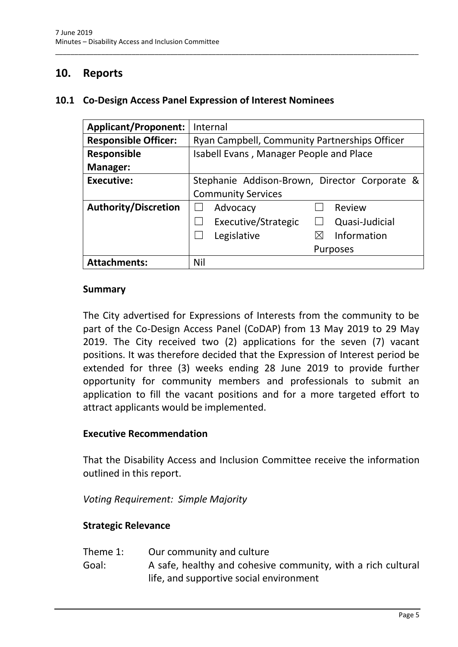## <span id="page-6-0"></span>**10. Reports**

#### <span id="page-6-1"></span>**10.1 Co-Design Access Panel Expression of Interest Nominees**

| <b>Applicant/Proponent:</b> | Internal                                      |
|-----------------------------|-----------------------------------------------|
| <b>Responsible Officer:</b> | Ryan Campbell, Community Partnerships Officer |
| <b>Responsible</b>          | Isabell Evans, Manager People and Place       |
| <b>Manager:</b>             |                                               |
| <b>Executive:</b>           | Stephanie Addison-Brown, Director Corporate & |
|                             | <b>Community Services</b>                     |
| <b>Authority/Discretion</b> | Review<br>Advocacy                            |
|                             | Executive/Strategic<br>Quasi-Judicial         |
|                             | Information<br>Legislative<br>$\boxtimes$     |
|                             | <b>Purposes</b>                               |
| <b>Attachments:</b>         | Nil                                           |

\_\_\_\_\_\_\_\_\_\_\_\_\_\_\_\_\_\_\_\_\_\_\_\_\_\_\_\_\_\_\_\_\_\_\_\_\_\_\_\_\_\_\_\_\_\_\_\_\_\_\_\_\_\_\_\_\_\_\_\_\_\_\_\_\_\_\_\_\_\_\_\_\_\_\_\_\_\_\_\_\_\_\_\_\_\_\_\_\_\_\_\_\_\_\_

#### **Summary**

The City advertised for Expressions of Interests from the community to be part of the Co-Design Access Panel (CoDAP) from 13 May 2019 to 29 May 2019. The City received two (2) applications for the seven (7) vacant positions. It was therefore decided that the Expression of Interest period be extended for three (3) weeks ending 28 June 2019 to provide further opportunity for community members and professionals to submit an application to fill the vacant positions and for a more targeted effort to attract applicants would be implemented.

#### **Executive Recommendation**

That the Disability Access and Inclusion Committee receive the information outlined in this report.

*Voting Requirement: Simple Majority*

#### **Strategic Relevance**

- Theme 1: Our community and culture
- Goal: A safe, healthy and cohesive community, with a rich cultural life, and supportive social environment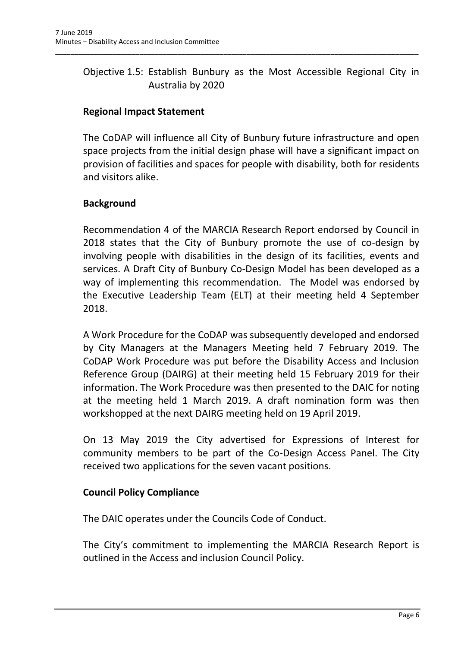## Objective 1.5: Establish Bunbury as the Most Accessible Regional City in Australia by 2020

\_\_\_\_\_\_\_\_\_\_\_\_\_\_\_\_\_\_\_\_\_\_\_\_\_\_\_\_\_\_\_\_\_\_\_\_\_\_\_\_\_\_\_\_\_\_\_\_\_\_\_\_\_\_\_\_\_\_\_\_\_\_\_\_\_\_\_\_\_\_\_\_\_\_\_\_\_\_\_\_\_\_\_\_\_\_\_\_\_\_\_\_\_\_\_

## **Regional Impact Statement**

The CoDAP will influence all City of Bunbury future infrastructure and open space projects from the initial design phase will have a significant impact on provision of facilities and spaces for people with disability, both for residents and visitors alike.

## **Background**

Recommendation 4 of the MARCIA Research Report endorsed by Council in 2018 states that the City of Bunbury promote the use of co-design by involving people with disabilities in the design of its facilities, events and services. A Draft City of Bunbury Co-Design Model has been developed as a way of implementing this recommendation. The Model was endorsed by the Executive Leadership Team (ELT) at their meeting held 4 September 2018.

A Work Procedure for the CoDAP was subsequently developed and endorsed by City Managers at the Managers Meeting held 7 February 2019. The CoDAP Work Procedure was put before the Disability Access and Inclusion Reference Group (DAIRG) at their meeting held 15 February 2019 for their information. The Work Procedure was then presented to the DAIC for noting at the meeting held 1 March 2019. A draft nomination form was then workshopped at the next DAIRG meeting held on 19 April 2019.

On 13 May 2019 the City advertised for Expressions of Interest for community members to be part of the Co-Design Access Panel. The City received two applications for the seven vacant positions.

## **Council Policy Compliance**

The DAIC operates under the Councils Code of Conduct.

The City's commitment to implementing the MARCIA Research Report is outlined in the Access and inclusion Council Policy.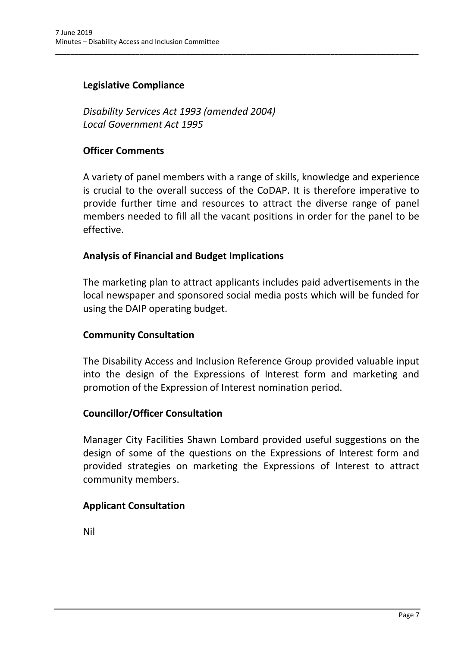## **Legislative Compliance**

*Disability Services Act 1993 (amended 2004) Local Government Act 1995*

#### **Officer Comments**

A variety of panel members with a range of skills, knowledge and experience is crucial to the overall success of the CoDAP. It is therefore imperative to provide further time and resources to attract the diverse range of panel members needed to fill all the vacant positions in order for the panel to be effective.

\_\_\_\_\_\_\_\_\_\_\_\_\_\_\_\_\_\_\_\_\_\_\_\_\_\_\_\_\_\_\_\_\_\_\_\_\_\_\_\_\_\_\_\_\_\_\_\_\_\_\_\_\_\_\_\_\_\_\_\_\_\_\_\_\_\_\_\_\_\_\_\_\_\_\_\_\_\_\_\_\_\_\_\_\_\_\_\_\_\_\_\_\_\_\_

#### **Analysis of Financial and Budget Implications**

The marketing plan to attract applicants includes paid advertisements in the local newspaper and sponsored social media posts which will be funded for using the DAIP operating budget.

#### **Community Consultation**

The Disability Access and Inclusion Reference Group provided valuable input into the design of the Expressions of Interest form and marketing and promotion of the Expression of Interest nomination period.

#### **Councillor/Officer Consultation**

Manager City Facilities Shawn Lombard provided useful suggestions on the design of some of the questions on the Expressions of Interest form and provided strategies on marketing the Expressions of Interest to attract community members.

## **Applicant Consultation**

Nil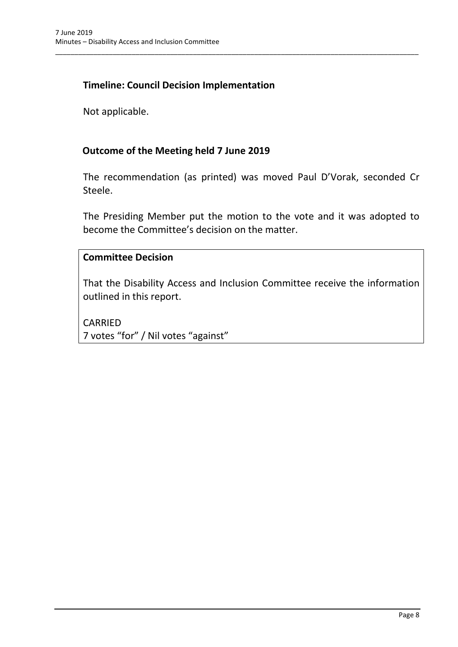## **Timeline: Council Decision Implementation**

Not applicable.

#### **Outcome of the Meeting held 7 June 2019**

The recommendation (as printed) was moved Paul D'Vorak, seconded Cr Steele.

\_\_\_\_\_\_\_\_\_\_\_\_\_\_\_\_\_\_\_\_\_\_\_\_\_\_\_\_\_\_\_\_\_\_\_\_\_\_\_\_\_\_\_\_\_\_\_\_\_\_\_\_\_\_\_\_\_\_\_\_\_\_\_\_\_\_\_\_\_\_\_\_\_\_\_\_\_\_\_\_\_\_\_\_\_\_\_\_\_\_\_\_\_\_\_

The Presiding Member put the motion to the vote and it was adopted to become the Committee's decision on the matter.

#### **Committee Decision**

That the Disability Access and Inclusion Committee receive the information outlined in this report.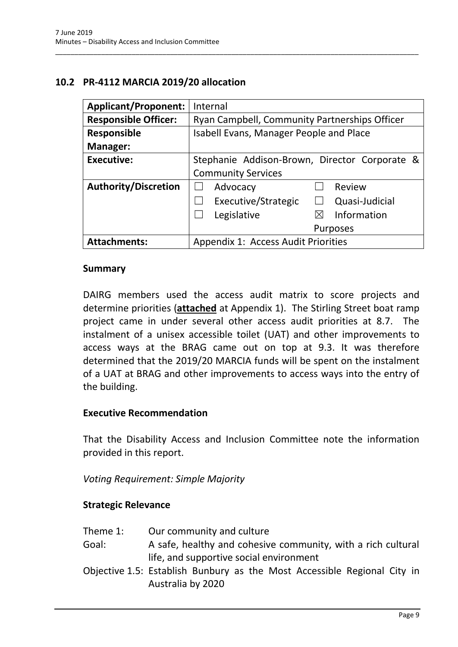## <span id="page-10-0"></span>**10.2 PR-4112 MARCIA 2019/20 allocation**

| <b>Applicant/Proponent:</b>                                | Internal                                      |
|------------------------------------------------------------|-----------------------------------------------|
| <b>Responsible Officer:</b>                                | Ryan Campbell, Community Partnerships Officer |
| <b>Responsible</b>                                         | Isabell Evans, Manager People and Place       |
| <b>Manager:</b>                                            |                                               |
| <b>Executive:</b>                                          | Stephanie Addison-Brown, Director Corporate & |
|                                                            | <b>Community Services</b>                     |
| <b>Authority/Discretion</b>                                | Advocacy<br>Review                            |
|                                                            | Executive/Strategic<br>Quasi-Judicial         |
|                                                            | Information<br>Legislative<br>$\bowtie$       |
|                                                            | <b>Purposes</b>                               |
| Appendix 1: Access Audit Priorities<br><b>Attachments:</b> |                                               |

\_\_\_\_\_\_\_\_\_\_\_\_\_\_\_\_\_\_\_\_\_\_\_\_\_\_\_\_\_\_\_\_\_\_\_\_\_\_\_\_\_\_\_\_\_\_\_\_\_\_\_\_\_\_\_\_\_\_\_\_\_\_\_\_\_\_\_\_\_\_\_\_\_\_\_\_\_\_\_\_\_\_\_\_\_\_\_\_\_\_\_\_\_\_\_

#### **Summary**

DAIRG members used the access audit matrix to score projects and determine priorities (**attached** at Appendix 1). The Stirling Street boat ramp project came in under several other access audit priorities at 8.7. The instalment of a unisex accessible toilet (UAT) and other improvements to access ways at the BRAG came out on top at 9.3. It was therefore determined that the 2019/20 MARCIA funds will be spent on the instalment of a UAT at BRAG and other improvements to access ways into the entry of the building.

#### **Executive Recommendation**

That the Disability Access and Inclusion Committee note the information provided in this report.

*Voting Requirement: Simple Majority* 

## **Strategic Relevance**

- Theme 1: Our community and culture
- Goal: A safe, healthy and cohesive community, with a rich cultural life, and supportive social environment
- Objective 1.5: Establish Bunbury as the Most Accessible Regional City in Australia by 2020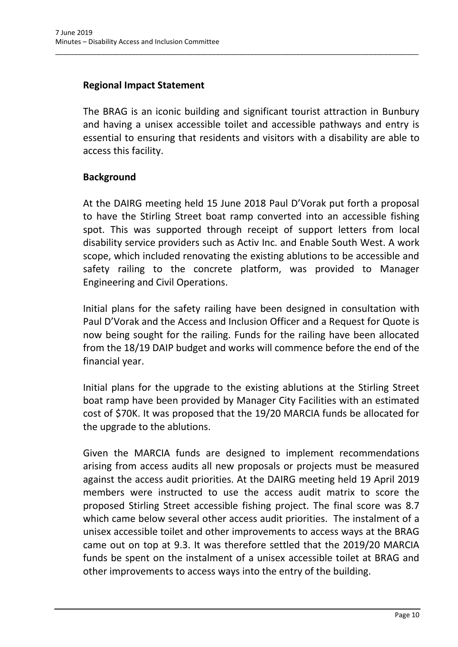## **Regional Impact Statement**

The BRAG is an iconic building and significant tourist attraction in Bunbury and having a unisex accessible toilet and accessible pathways and entry is essential to ensuring that residents and visitors with a disability are able to access this facility.

\_\_\_\_\_\_\_\_\_\_\_\_\_\_\_\_\_\_\_\_\_\_\_\_\_\_\_\_\_\_\_\_\_\_\_\_\_\_\_\_\_\_\_\_\_\_\_\_\_\_\_\_\_\_\_\_\_\_\_\_\_\_\_\_\_\_\_\_\_\_\_\_\_\_\_\_\_\_\_\_\_\_\_\_\_\_\_\_\_\_\_\_\_\_\_

## **Background**

At the DAIRG meeting held 15 June 2018 Paul D'Vorak put forth a proposal to have the Stirling Street boat ramp converted into an accessible fishing spot. This was supported through receipt of support letters from local disability service providers such as Activ Inc. and Enable South West. A work scope, which included renovating the existing ablutions to be accessible and safety railing to the concrete platform, was provided to Manager Engineering and Civil Operations.

Initial plans for the safety railing have been designed in consultation with Paul D'Vorak and the Access and Inclusion Officer and a Request for Quote is now being sought for the railing. Funds for the railing have been allocated from the 18/19 DAIP budget and works will commence before the end of the financial year.

Initial plans for the upgrade to the existing ablutions at the Stirling Street boat ramp have been provided by Manager City Facilities with an estimated cost of \$70K. It was proposed that the 19/20 MARCIA funds be allocated for the upgrade to the ablutions.

Given the MARCIA funds are designed to implement recommendations arising from access audits all new proposals or projects must be measured against the access audit priorities. At the DAIRG meeting held 19 April 2019 members were instructed to use the access audit matrix to score the proposed Stirling Street accessible fishing project. The final score was 8.7 which came below several other access audit priorities. The instalment of a unisex accessible toilet and other improvements to access ways at the BRAG came out on top at 9.3. It was therefore settled that the 2019/20 MARCIA funds be spent on the instalment of a unisex accessible toilet at BRAG and other improvements to access ways into the entry of the building.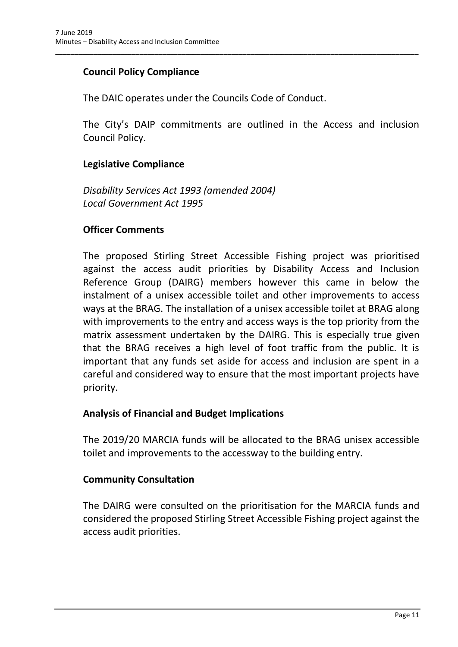## **Council Policy Compliance**

The DAIC operates under the Councils Code of Conduct.

The City's DAIP commitments are outlined in the Access and inclusion Council Policy.

\_\_\_\_\_\_\_\_\_\_\_\_\_\_\_\_\_\_\_\_\_\_\_\_\_\_\_\_\_\_\_\_\_\_\_\_\_\_\_\_\_\_\_\_\_\_\_\_\_\_\_\_\_\_\_\_\_\_\_\_\_\_\_\_\_\_\_\_\_\_\_\_\_\_\_\_\_\_\_\_\_\_\_\_\_\_\_\_\_\_\_\_\_\_\_

#### **Legislative Compliance**

*Disability Services Act 1993 (amended 2004) Local Government Act 1995*

#### **Officer Comments**

The proposed Stirling Street Accessible Fishing project was prioritised against the access audit priorities by Disability Access and Inclusion Reference Group (DAIRG) members however this came in below the instalment of a unisex accessible toilet and other improvements to access ways at the BRAG. The installation of a unisex accessible toilet at BRAG along with improvements to the entry and access ways is the top priority from the matrix assessment undertaken by the DAIRG. This is especially true given that the BRAG receives a high level of foot traffic from the public. It is important that any funds set aside for access and inclusion are spent in a careful and considered way to ensure that the most important projects have priority.

#### **Analysis of Financial and Budget Implications**

The 2019/20 MARCIA funds will be allocated to the BRAG unisex accessible toilet and improvements to the accessway to the building entry.

#### **Community Consultation**

The DAIRG were consulted on the prioritisation for the MARCIA funds and considered the proposed Stirling Street Accessible Fishing project against the access audit priorities.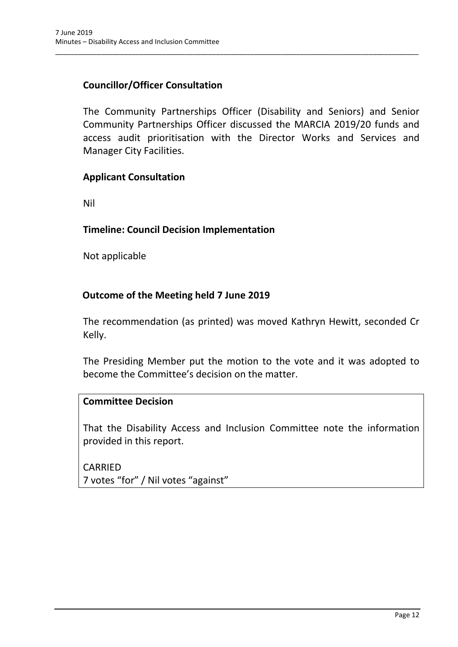## **Councillor/Officer Consultation**

The Community Partnerships Officer (Disability and Seniors) and Senior Community Partnerships Officer discussed the MARCIA 2019/20 funds and access audit prioritisation with the Director Works and Services and Manager City Facilities.

\_\_\_\_\_\_\_\_\_\_\_\_\_\_\_\_\_\_\_\_\_\_\_\_\_\_\_\_\_\_\_\_\_\_\_\_\_\_\_\_\_\_\_\_\_\_\_\_\_\_\_\_\_\_\_\_\_\_\_\_\_\_\_\_\_\_\_\_\_\_\_\_\_\_\_\_\_\_\_\_\_\_\_\_\_\_\_\_\_\_\_\_\_\_\_

#### **Applicant Consultation**

Nil

#### **Timeline: Council Decision Implementation**

Not applicable

## **Outcome of the Meeting held 7 June 2019**

The recommendation (as printed) was moved Kathryn Hewitt, seconded Cr Kelly.

The Presiding Member put the motion to the vote and it was adopted to become the Committee's decision on the matter.

#### **Committee Decision**

That the Disability Access and Inclusion Committee note the information provided in this report.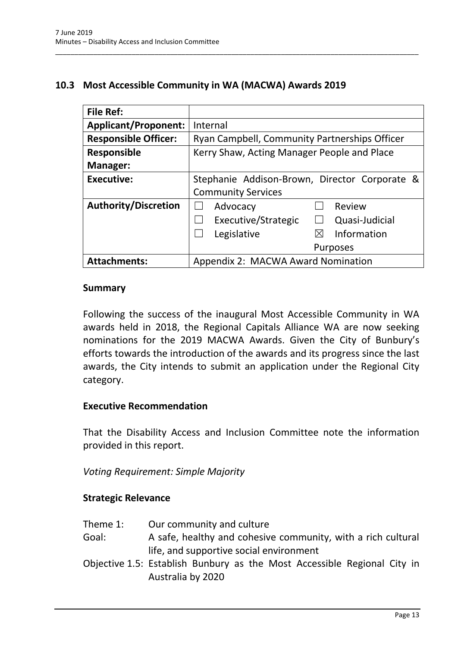## <span id="page-14-0"></span>**10.3 Most Accessible Community in WA (MACWA) Awards 2019**

\_\_\_\_\_\_\_\_\_\_\_\_\_\_\_\_\_\_\_\_\_\_\_\_\_\_\_\_\_\_\_\_\_\_\_\_\_\_\_\_\_\_\_\_\_\_\_\_\_\_\_\_\_\_\_\_\_\_\_\_\_\_\_\_\_\_\_\_\_\_\_\_\_\_\_\_\_\_\_\_\_\_\_\_\_\_\_\_\_\_\_\_\_\_\_

| <b>File Ref:</b>            |                                               |
|-----------------------------|-----------------------------------------------|
| <b>Applicant/Proponent:</b> | Internal                                      |
| <b>Responsible Officer:</b> | Ryan Campbell, Community Partnerships Officer |
| <b>Responsible</b>          | Kerry Shaw, Acting Manager People and Place   |
| <b>Manager:</b>             |                                               |
| <b>Executive:</b>           | Stephanie Addison-Brown, Director Corporate & |
|                             | <b>Community Services</b>                     |
| <b>Authority/Discretion</b> | Review<br>Advocacy                            |
|                             | Executive/Strategic<br>Quasi-Judicial         |
|                             | Information<br>Legislative<br>$\boxtimes$     |
|                             | <b>Purposes</b>                               |
| <b>Attachments:</b>         | Appendix 2: MACWA Award Nomination            |

#### **Summary**

Following the success of the inaugural Most Accessible Community in WA awards held in 2018, the Regional Capitals Alliance WA are now seeking nominations for the 2019 MACWA Awards. Given the City of Bunbury's efforts towards the introduction of the awards and its progress since the last awards, the City intends to submit an application under the Regional City category.

#### **Executive Recommendation**

That the Disability Access and Inclusion Committee note the information provided in this report.

*Voting Requirement: Simple Majority* 

#### **Strategic Relevance**

- Goal: A safe, healthy and cohesive community, with a rich cultural life, and supportive social environment
- Objective 1.5: Establish Bunbury as the Most Accessible Regional City in Australia by 2020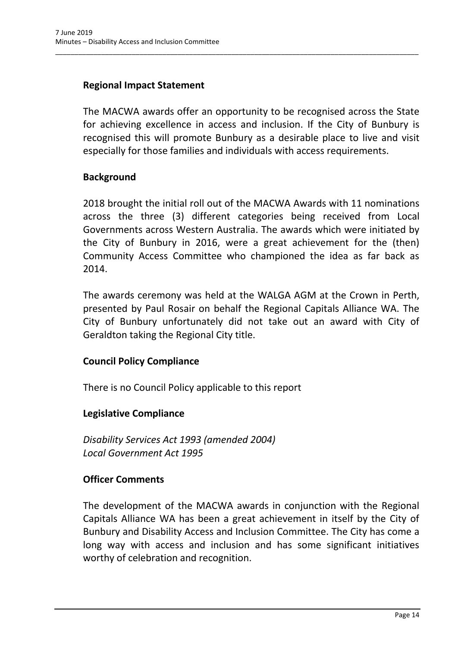## **Regional Impact Statement**

The MACWA awards offer an opportunity to be recognised across the State for achieving excellence in access and inclusion. If the City of Bunbury is recognised this will promote Bunbury as a desirable place to live and visit especially for those families and individuals with access requirements.

\_\_\_\_\_\_\_\_\_\_\_\_\_\_\_\_\_\_\_\_\_\_\_\_\_\_\_\_\_\_\_\_\_\_\_\_\_\_\_\_\_\_\_\_\_\_\_\_\_\_\_\_\_\_\_\_\_\_\_\_\_\_\_\_\_\_\_\_\_\_\_\_\_\_\_\_\_\_\_\_\_\_\_\_\_\_\_\_\_\_\_\_\_\_\_

## **Background**

2018 brought the initial roll out of the MACWA Awards with 11 nominations across the three (3) different categories being received from Local Governments across Western Australia. The awards which were initiated by the City of Bunbury in 2016, were a great achievement for the (then) Community Access Committee who championed the idea as far back as 2014.

The awards ceremony was held at the WALGA AGM at the Crown in Perth, presented by Paul Rosair on behalf the Regional Capitals Alliance WA. The City of Bunbury unfortunately did not take out an award with City of Geraldton taking the Regional City title.

## **Council Policy Compliance**

There is no Council Policy applicable to this report

## **Legislative Compliance**

*Disability Services Act 1993 (amended 2004) Local Government Act 1995*

## **Officer Comments**

The development of the MACWA awards in conjunction with the Regional Capitals Alliance WA has been a great achievement in itself by the City of Bunbury and Disability Access and Inclusion Committee. The City has come a long way with access and inclusion and has some significant initiatives worthy of celebration and recognition.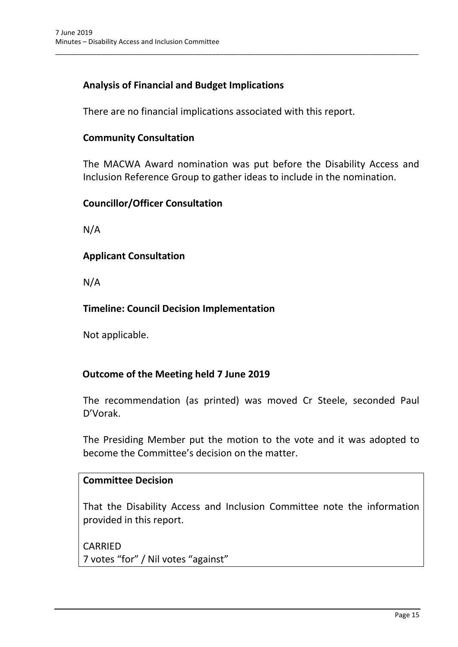## **Analysis of Financial and Budget Implications**

There are no financial implications associated with this report.

\_\_\_\_\_\_\_\_\_\_\_\_\_\_\_\_\_\_\_\_\_\_\_\_\_\_\_\_\_\_\_\_\_\_\_\_\_\_\_\_\_\_\_\_\_\_\_\_\_\_\_\_\_\_\_\_\_\_\_\_\_\_\_\_\_\_\_\_\_\_\_\_\_\_\_\_\_\_\_\_\_\_\_\_\_\_\_\_\_\_\_\_\_\_\_

## **Community Consultation**

The MACWA Award nomination was put before the Disability Access and Inclusion Reference Group to gather ideas to include in the nomination.

#### **Councillor/Officer Consultation**

N/A

## **Applicant Consultation**

N/A

## **Timeline: Council Decision Implementation**

Not applicable.

## **Outcome of the Meeting held 7 June 2019**

The recommendation (as printed) was moved Cr Steele, seconded Paul D'Vorak.

The Presiding Member put the motion to the vote and it was adopted to become the Committee's decision on the matter.

#### **Committee Decision**

That the Disability Access and Inclusion Committee note the information provided in this report.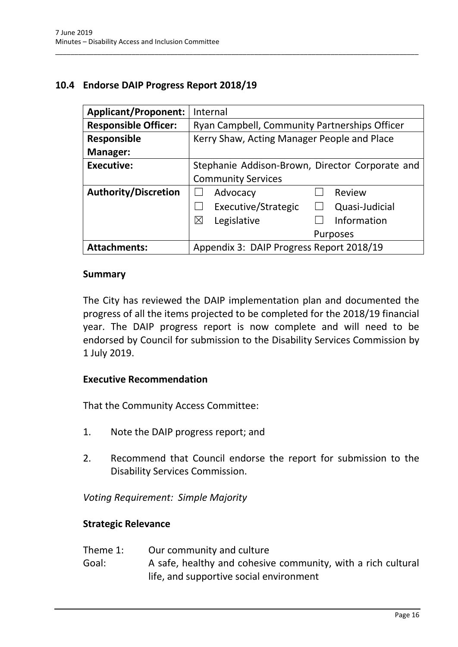## <span id="page-17-0"></span>**10.4 Endorse DAIP Progress Report 2018/19**

| <b>Applicant/Proponent:</b> | Internal                                        |
|-----------------------------|-------------------------------------------------|
| <b>Responsible Officer:</b> | Ryan Campbell, Community Partnerships Officer   |
| <b>Responsible</b>          | Kerry Shaw, Acting Manager People and Place     |
| Manager:                    |                                                 |
| <b>Executive:</b>           | Stephanie Addison-Brown, Director Corporate and |
|                             | <b>Community Services</b>                       |
| <b>Authority/Discretion</b> | Advocacy<br>Review                              |
|                             | Executive/Strategic<br>Quasi-Judicial           |
|                             | Information<br>⊠<br>Legislative                 |
|                             | <b>Purposes</b>                                 |
| <b>Attachments:</b>         | Appendix 3: DAIP Progress Report 2018/19        |

\_\_\_\_\_\_\_\_\_\_\_\_\_\_\_\_\_\_\_\_\_\_\_\_\_\_\_\_\_\_\_\_\_\_\_\_\_\_\_\_\_\_\_\_\_\_\_\_\_\_\_\_\_\_\_\_\_\_\_\_\_\_\_\_\_\_\_\_\_\_\_\_\_\_\_\_\_\_\_\_\_\_\_\_\_\_\_\_\_\_\_\_\_\_\_

#### **Summary**

The City has reviewed the DAIP implementation plan and documented the progress of all the items projected to be completed for the 2018/19 financial year. The DAIP progress report is now complete and will need to be endorsed by Council for submission to the Disability Services Commission by 1 July 2019.

#### **Executive Recommendation**

That the Community Access Committee:

- 1. Note the DAIP progress report; and
- 2. Recommend that Council endorse the report for submission to the Disability Services Commission.

*Voting Requirement: Simple Majority* 

#### **Strategic Relevance**

- Theme 1: Our community and culture
- Goal: A safe, healthy and cohesive community, with a rich cultural life, and supportive social environment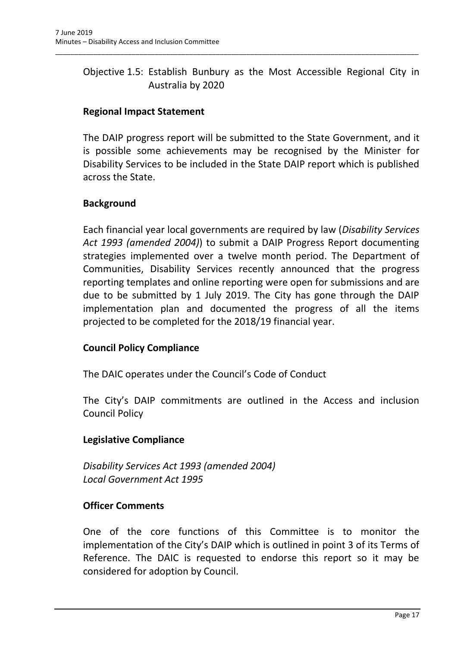## Objective 1.5: Establish Bunbury as the Most Accessible Regional City in Australia by 2020

\_\_\_\_\_\_\_\_\_\_\_\_\_\_\_\_\_\_\_\_\_\_\_\_\_\_\_\_\_\_\_\_\_\_\_\_\_\_\_\_\_\_\_\_\_\_\_\_\_\_\_\_\_\_\_\_\_\_\_\_\_\_\_\_\_\_\_\_\_\_\_\_\_\_\_\_\_\_\_\_\_\_\_\_\_\_\_\_\_\_\_\_\_\_\_

## **Regional Impact Statement**

The DAIP progress report will be submitted to the State Government, and it is possible some achievements may be recognised by the Minister for Disability Services to be included in the State DAIP report which is published across the State.

## **Background**

Each financial year local governments are required by law (*Disability Services Act 1993 (amended 2004)*) to submit a DAIP Progress Report documenting strategies implemented over a twelve month period. The Department of Communities, Disability Services recently announced that the progress reporting templates and online reporting were open for submissions and are due to be submitted by 1 July 2019. The City has gone through the DAIP implementation plan and documented the progress of all the items projected to be completed for the 2018/19 financial year.

## **Council Policy Compliance**

The DAIC operates under the Council's Code of Conduct

The City's DAIP commitments are outlined in the Access and inclusion Council Policy

## **Legislative Compliance**

*Disability Services Act 1993 (amended 2004) Local Government Act 1995*

## **Officer Comments**

One of the core functions of this Committee is to monitor the implementation of the City's DAIP which is outlined in point 3 of its Terms of Reference. The DAIC is requested to endorse this report so it may be considered for adoption by Council.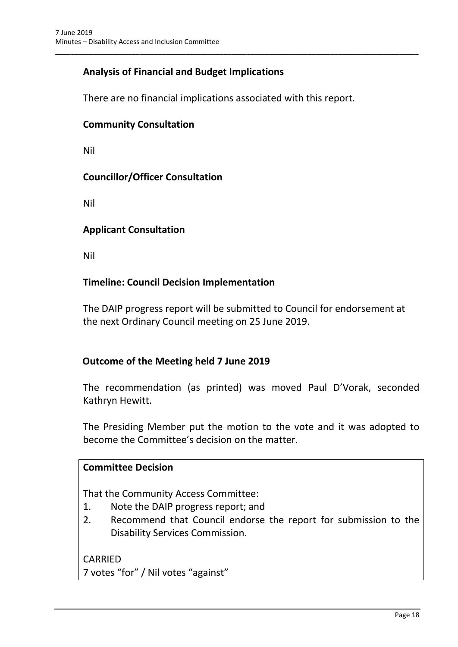## **Analysis of Financial and Budget Implications**

There are no financial implications associated with this report.

\_\_\_\_\_\_\_\_\_\_\_\_\_\_\_\_\_\_\_\_\_\_\_\_\_\_\_\_\_\_\_\_\_\_\_\_\_\_\_\_\_\_\_\_\_\_\_\_\_\_\_\_\_\_\_\_\_\_\_\_\_\_\_\_\_\_\_\_\_\_\_\_\_\_\_\_\_\_\_\_\_\_\_\_\_\_\_\_\_\_\_\_\_\_\_

#### **Community Consultation**

Nil

#### **Councillor/Officer Consultation**

Nil

#### **Applicant Consultation**

Nil

#### **Timeline: Council Decision Implementation**

The DAIP progress report will be submitted to Council for endorsement at the next Ordinary Council meeting on 25 June 2019.

#### **Outcome of the Meeting held 7 June 2019**

The recommendation (as printed) was moved Paul D'Vorak, seconded Kathryn Hewitt.

The Presiding Member put the motion to the vote and it was adopted to become the Committee's decision on the matter.

#### **Committee Decision**

That the Community Access Committee:

- 1. Note the DAIP progress report; and
- 2. Recommend that Council endorse the report for submission to the Disability Services Commission.